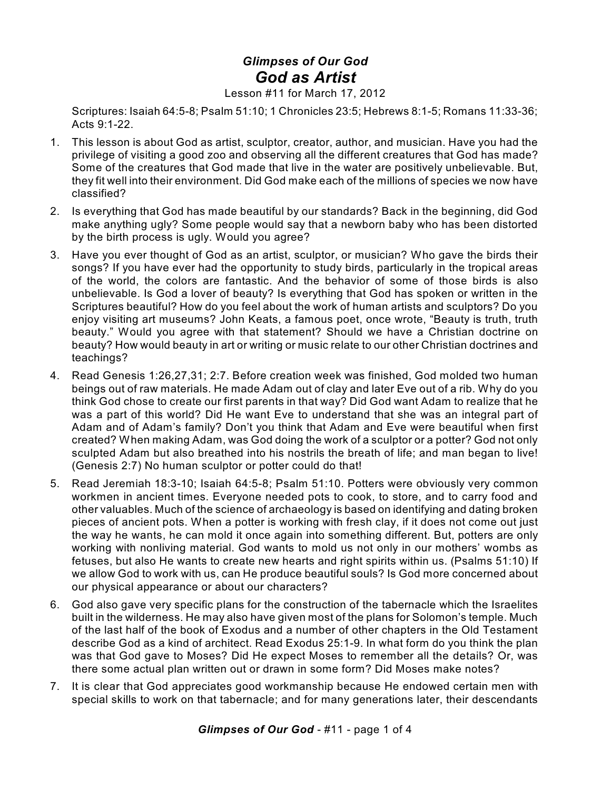## *Glimpses of Our God God as Artist*

Lesson #11 for March 17, 2012

Scriptures: Isaiah 64:5-8; Psalm 51:10; 1 Chronicles 23:5; Hebrews 8:1-5; Romans 11:33-36; Acts 9:1-22.

- 1. This lesson is about God as artist, sculptor, creator, author, and musician. Have you had the privilege of visiting a good zoo and observing all the different creatures that God has made? Some of the creatures that God made that live in the water are positively unbelievable. But, they fit well into their environment. Did God make each of the millions of species we now have classified?
- 2. Is everything that God has made beautiful by our standards? Back in the beginning, did God make anything ugly? Some people would say that a newborn baby who has been distorted by the birth process is ugly. Would you agree?
- 3. Have you ever thought of God as an artist, sculptor, or musician? Who gave the birds their songs? If you have ever had the opportunity to study birds, particularly in the tropical areas of the world, the colors are fantastic. And the behavior of some of those birds is also unbelievable. Is God a lover of beauty? Is everything that God has spoken or written in the Scriptures beautiful? How do you feel about the work of human artists and sculptors? Do you enjoy visiting art museums? John Keats, a famous poet, once wrote, "Beauty is truth, truth beauty." Would you agree with that statement? Should we have a Christian doctrine on beauty? How would beauty in art or writing or music relate to our other Christian doctrines and teachings?
- 4. Read Genesis 1:26,27,31; 2:7. Before creation week was finished, God molded two human beings out of raw materials. He made Adam out of clay and later Eve out of a rib. Why do you think God chose to create our first parents in that way? Did God want Adam to realize that he was a part of this world? Did He want Eve to understand that she was an integral part of Adam and of Adam's family? Don't you think that Adam and Eve were beautiful when first created? When making Adam, was God doing the work of a sculptor or a potter? God not only sculpted Adam but also breathed into his nostrils the breath of life; and man began to live! (Genesis 2:7) No human sculptor or potter could do that!
- 5. Read Jeremiah 18:3-10; Isaiah 64:5-8; Psalm 51:10. Potters were obviously very common workmen in ancient times. Everyone needed pots to cook, to store, and to carry food and other valuables. Much of the science of archaeology is based on identifying and dating broken pieces of ancient pots. When a potter is working with fresh clay, if it does not come out just the way he wants, he can mold it once again into something different. But, potters are only working with nonliving material. God wants to mold us not only in our mothers' wombs as fetuses, but also He wants to create new hearts and right spirits within us. (Psalms 51:10) If we allow God to work with us, can He produce beautiful souls? Is God more concerned about our physical appearance or about our characters?
- 6. God also gave very specific plans for the construction of the tabernacle which the Israelites built in the wilderness. He may also have given most of the plans for Solomon's temple. Much of the last half of the book of Exodus and a number of other chapters in the Old Testament describe God as a kind of architect. Read Exodus 25:1-9. In what form do you think the plan was that God gave to Moses? Did He expect Moses to remember all the details? Or, was there some actual plan written out or drawn in some form? Did Moses make notes?
- 7. It is clear that God appreciates good workmanship because He endowed certain men with special skills to work on that tabernacle; and for many generations later, their descendants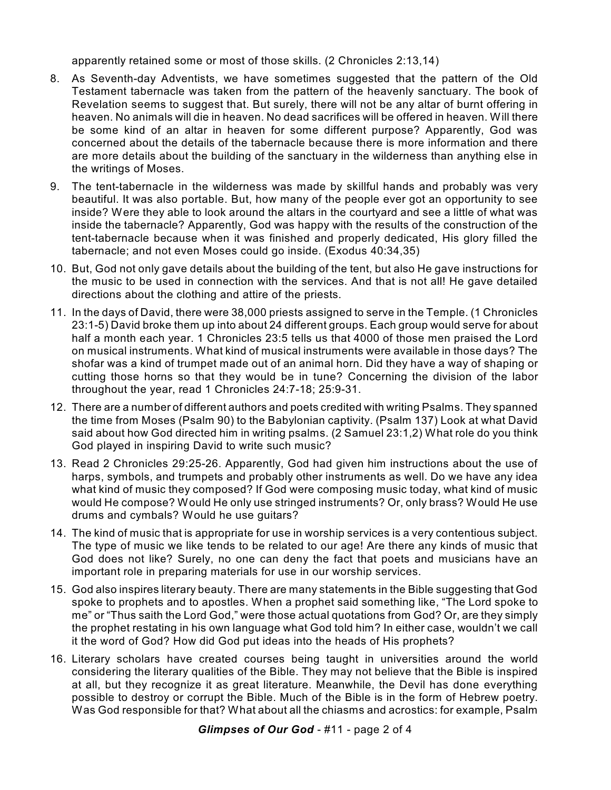apparently retained some or most of those skills. (2 Chronicles 2:13,14)

- 8. As Seventh-day Adventists, we have sometimes suggested that the pattern of the Old Testament tabernacle was taken from the pattern of the heavenly sanctuary. The book of Revelation seems to suggest that. But surely, there will not be any altar of burnt offering in heaven. No animals will die in heaven. No dead sacrifices will be offered in heaven. Will there be some kind of an altar in heaven for some different purpose? Apparently, God was concerned about the details of the tabernacle because there is more information and there are more details about the building of the sanctuary in the wilderness than anything else in the writings of Moses.
- 9. The tent-tabernacle in the wilderness was made by skillful hands and probably was very beautiful. It was also portable. But, how many of the people ever got an opportunity to see inside? Were they able to look around the altars in the courtyard and see a little of what was inside the tabernacle? Apparently, God was happy with the results of the construction of the tent-tabernacle because when it was finished and properly dedicated, His glory filled the tabernacle; and not even Moses could go inside. (Exodus 40:34,35)
- 10. But, God not only gave details about the building of the tent, but also He gave instructions for the music to be used in connection with the services. And that is not all! He gave detailed directions about the clothing and attire of the priests.
- 11. In the days of David, there were 38,000 priests assigned to serve in the Temple. (1 Chronicles 23:1-5) David broke them up into about 24 different groups. Each group would serve for about half a month each year. 1 Chronicles 23:5 tells us that 4000 of those men praised the Lord on musical instruments. What kind of musical instruments were available in those days? The shofar was a kind of trumpet made out of an animal horn. Did they have a way of shaping or cutting those horns so that they would be in tune? Concerning the division of the labor throughout the year, read 1 Chronicles 24:7-18; 25:9-31.
- 12. There are a number of different authors and poets credited with writing Psalms. They spanned the time from Moses (Psalm 90) to the Babylonian captivity. (Psalm 137) Look at what David said about how God directed him in writing psalms. (2 Samuel 23:1,2) What role do you think God played in inspiring David to write such music?
- 13. Read 2 Chronicles 29:25-26. Apparently, God had given him instructions about the use of harps, symbols, and trumpets and probably other instruments as well. Do we have any idea what kind of music they composed? If God were composing music today, what kind of music would He compose? Would He only use stringed instruments? Or, only brass? Would He use drums and cymbals? Would he use guitars?
- 14. The kind of music that is appropriate for use in worship services is a very contentious subject. The type of music we like tends to be related to our age! Are there any kinds of music that God does not like? Surely, no one can deny the fact that poets and musicians have an important role in preparing materials for use in our worship services.
- 15. God also inspires literary beauty. There are many statements in the Bible suggesting that God spoke to prophets and to apostles. When a prophet said something like, "The Lord spoke to me" or "Thus saith the Lord God," were those actual quotations from God? Or, are they simply the prophet restating in his own language what God told him? In either case, wouldn't we call it the word of God? How did God put ideas into the heads of His prophets?
- 16. Literary scholars have created courses being taught in universities around the world considering the literary qualities of the Bible. They may not believe that the Bible is inspired at all, but they recognize it as great literature. Meanwhile, the Devil has done everything possible to destroy or corrupt the Bible. Much of the Bible is in the form of Hebrew poetry. Was God responsible for that? What about all the chiasms and acrostics: for example, Psalm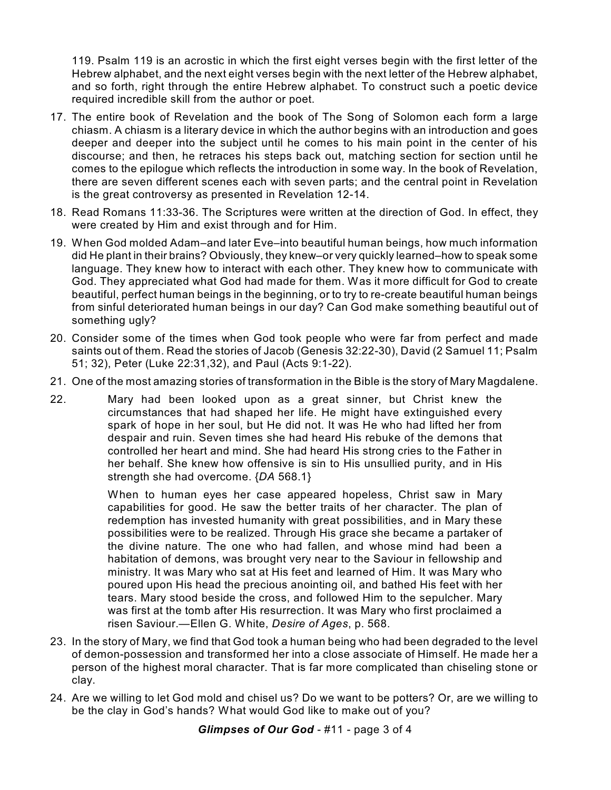119. Psalm 119 is an acrostic in which the first eight verses begin with the first letter of the Hebrew alphabet, and the next eight verses begin with the next letter of the Hebrew alphabet, and so forth, right through the entire Hebrew alphabet. To construct such a poetic device required incredible skill from the author or poet.

- 17. The entire book of Revelation and the book of The Song of Solomon each form a large chiasm. A chiasm is a literary device in which the author begins with an introduction and goes deeper and deeper into the subject until he comes to his main point in the center of his discourse; and then, he retraces his steps back out, matching section for section until he comes to the epilogue which reflects the introduction in some way. In the book of Revelation, there are seven different scenes each with seven parts; and the central point in Revelation is the great controversy as presented in Revelation 12-14.
- 18. Read Romans 11:33-36. The Scriptures were written at the direction of God. In effect, they were created by Him and exist through and for Him.
- 19. When God molded Adam–and later Eve–into beautiful human beings, how much information did He plant in their brains? Obviously, they knew–or very quickly learned–how to speak some language. They knew how to interact with each other. They knew how to communicate with God. They appreciated what God had made for them. Was it more difficult for God to create beautiful, perfect human beings in the beginning, or to try to re-create beautiful human beings from sinful deteriorated human beings in our day? Can God make something beautiful out of something ugly?
- 20. Consider some of the times when God took people who were far from perfect and made saints out of them. Read the stories of Jacob (Genesis 32:22-30), David (2 Samuel 11; Psalm 51; 32), Peter (Luke 22:31,32), and Paul (Acts 9:1-22).
- 21. One of the most amazing stories of transformation in the Bible is the story of Mary Magdalene.
- 22. Mary had been looked upon as a great sinner, but Christ knew the circumstances that had shaped her life. He might have extinguished every spark of hope in her soul, but He did not. It was He who had lifted her from despair and ruin. Seven times she had heard His rebuke of the demons that controlled her heart and mind. She had heard His strong cries to the Father in her behalf. She knew how offensive is sin to His unsullied purity, and in His strength she had overcome. {*DA* 568.1}

When to human eyes her case appeared hopeless, Christ saw in Mary capabilities for good. He saw the better traits of her character. The plan of redemption has invested humanity with great possibilities, and in Mary these possibilities were to be realized. Through His grace she became a partaker of the divine nature. The one who had fallen, and whose mind had been a habitation of demons, was brought very near to the Saviour in fellowship and ministry. It was Mary who sat at His feet and learned of Him. It was Mary who poured upon His head the precious anointing oil, and bathed His feet with her tears. Mary stood beside the cross, and followed Him to the sepulcher. Mary was first at the tomb after His resurrection. It was Mary who first proclaimed a risen Saviour.—Ellen G. White, *Desire of Ages*, p. 568.

- 23. In the story of Mary, we find that God took a human being who had been degraded to the level of demon-possession and transformed her into a close associate of Himself. He made her a person of the highest moral character. That is far more complicated than chiseling stone or clay.
- 24. Are we willing to let God mold and chisel us? Do we want to be potters? Or, are we willing to be the clay in God's hands? What would God like to make out of you?